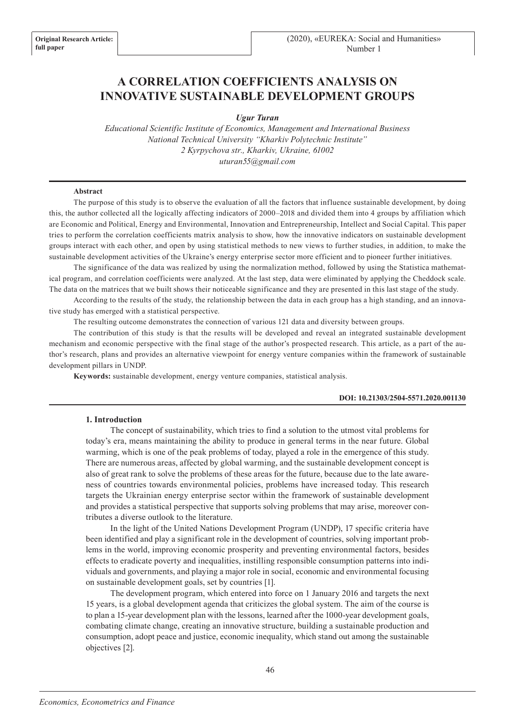# **A CORRELATION COEFFICIENTS ANALYSIS ON INNOVATIVE SUSTAINABLE DEVELOPMENT GROUPS**

*Ugur Turan*

*Educational Scientific Institute of Economics, Management and International Business National Technical University "Kharkiv Polytechnic Institute" 2 Kyrpychova str., Kharkiv, Ukraine, 61002 uturan55@gmail.com*

### **Abstract**

The purpose of this study is to observe the evaluation of all the factors that influence sustainable development, by doing this, the author collected all the logically affecting indicators of 2000–2018 and divided them into 4 groups by affiliation which are Economic and Political, Energy and Environmental, Innovation and Entrepreneurship, Intellect and Social Capital. This paper tries to perform the correlation coefficients matrix analysis to show, how the innovative indicators on sustainable development groups interact with each other, and open by using statistical methods to new views to further studies, in addition, to make the sustainable development activities of the Ukraine's energy enterprise sector more efficient and to pioneer further initiatives.

The significance of the data was realized by using the normalization method, followed by using the Statistica mathematical program, and correlation coefficients were analyzed. At the last step, data were eliminated by applying the Cheddock scale. The data on the matrices that we built shows their noticeable significance and they are presented in this last stage of the study.

According to the results of the study, the relationship between the data in each group has a high standing, and an innovative study has emerged with a statistical perspective.

The resulting outcome demonstrates the connection of various 121 data and diversity between groups.

The contribution of this study is that the results will be developed and reveal an integrated sustainable development mechanism and economic perspective with the final stage of the author's prospected research. This article, as a part of the author's research, plans and provides an alternative viewpoint for energy venture companies within the framework of sustainable development pillars in UNDP.

**Keywords:** sustainable development, energy venture companies, statistical analysis.

#### **DOI: 10.21303/2504-5571.2020.001130**

#### **1. Introduction**

The concept of sustainability, which tries to find a solution to the utmost vital problems for today's era, means maintaining the ability to produce in general terms in the near future. Global warming, which is one of the peak problems of today, played a role in the emergence of this study. There are numerous areas, affected by global warming, and the sustainable development concept is also of great rank to solve the problems of these areas for the future, because due to the late awareness of countries towards environmental policies, problems have increased today. This research targets the Ukrainian energy enterprise sector within the framework of sustainable development and provides a statistical perspective that supports solving problems that may arise, moreover contributes a diverse outlook to the literature.

In the light of the United Nations Development Program (UNDP), 17 specific criteria have been identified and play a significant role in the development of countries, solving important problems in the world, improving economic prosperity and preventing environmental factors, besides effects to eradicate poverty and inequalities, instilling responsible consumption patterns into individuals and governments, and playing a major role in social, economic and environmental focusing on sustainable development goals, set by countries [1].

The development program, which entered into force on 1 January 2016 and targets the next 15 years, is a global development agenda that criticizes the global system. The aim of the course is to plan a 15-year development plan with the lessons, learned after the 1000-year development goals, combating climate change, creating an innovative structure, building a sustainable production and consumption, adopt peace and justice, economic inequality, which stand out among the sustainable objectives [2].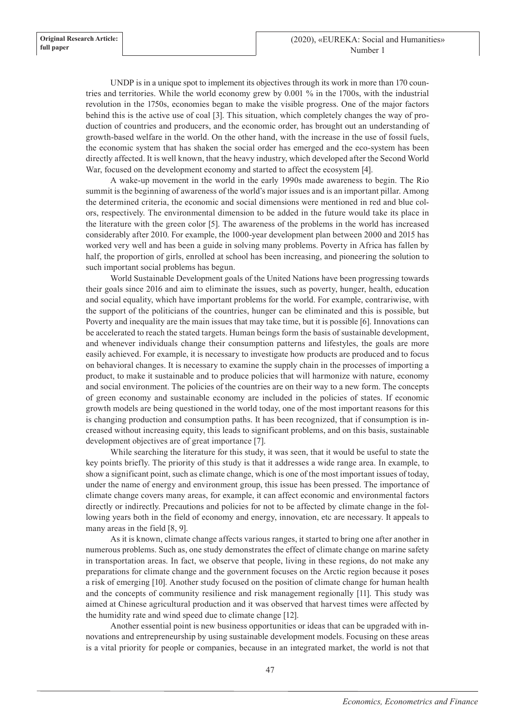UNDP is in a unique spot to implement its objectives through its work in more than 170 countries and territories. While the world economy grew by 0.001 % in the 1700s, with the industrial revolution in the 1750s, economies began to make the visible progress. One of the major factors behind this is the active use of coal [3]. This situation, which completely changes the way of production of countries and producers, and the economic order, has brought out an understanding of growth-based welfare in the world. On the other hand, with the increase in the use of fossil fuels, the economic system that has shaken the social order has emerged and the eco-system has been directly affected. It is well known, that the heavy industry, which developed after the Second World War, focused on the development economy and started to affect the ecosystem [4].

A wake-up movement in the world in the early 1990s made awareness to begin. The Rio summit is the beginning of awareness of the world's major issues and is an important pillar. Among the determined criteria, the economic and social dimensions were mentioned in red and blue colors, respectively. The environmental dimension to be added in the future would take its place in the literature with the green color [5]. The awareness of the problems in the world has increased considerably after 2010. For example, the 1000-year development plan between 2000 and 2015 has worked very well and has been a guide in solving many problems. Poverty in Africa has fallen by half, the proportion of girls, enrolled at school has been increasing, and pioneering the solution to such important social problems has begun.

World Sustainable Development goals of the United Nations have been progressing towards their goals since 2016 and aim to eliminate the issues, such as poverty, hunger, health, education and social equality, which have important problems for the world. For example, contrariwise, with the support of the politicians of the countries, hunger can be eliminated and this is possible, but Poverty and inequality are the main issues that may take time, but it is possible [6]. Innovations can be accelerated to reach the stated targets. Human beings form the basis of sustainable development, and whenever individuals change their consumption patterns and lifestyles, the goals are more easily achieved. For example, it is necessary to investigate how products are produced and to focus on behavioral changes. It is necessary to examine the supply chain in the processes of importing a product, to make it sustainable and to produce policies that will harmonize with nature, economy and social environment. The policies of the countries are on their way to a new form. The concepts of green economy and sustainable economy are included in the policies of states. If economic growth models are being questioned in the world today, one of the most important reasons for this is changing production and consumption paths. It has been recognized, that if consumption is increased without increasing equity, this leads to significant problems, and on this basis, sustainable development objectives are of great importance [7].

While searching the literature for this study, it was seen, that it would be useful to state the key points briefly. The priority of this study is that it addresses a wide range area. In example, to show a significant point, such as climate change, which is one of the most important issues of today, under the name of energy and environment group, this issue has been pressed. The importance of climate change covers many areas, for example, it can affect economic and environmental factors directly or indirectly. Precautions and policies for not to be affected by climate change in the following years both in the field of economy and energy, innovation, etc are necessary. It appeals to many areas in the field [8, 9].

As it is known, climate change affects various ranges, it started to bring one after another in numerous problems. Such as, one study demonstrates the effect of climate change on marine safety in transportation areas. In fact, we observe that people, living in these regions, do not make any preparations for climate change and the government focuses on the Arctic region because it poses a risk of emerging [10]. Another study focused on the position of climate change for human health and the concepts of community resilience and risk management regionally [11]. This study was aimed at Chinese agricultural production and it was observed that harvest times were affected by the humidity rate and wind speed due to climate change [12].

Another essential point is new business opportunities or ideas that can be upgraded with innovations and entrepreneurship by using sustainable development models. Focusing on these areas is a vital priority for people or companies, because in an integrated market, the world is not that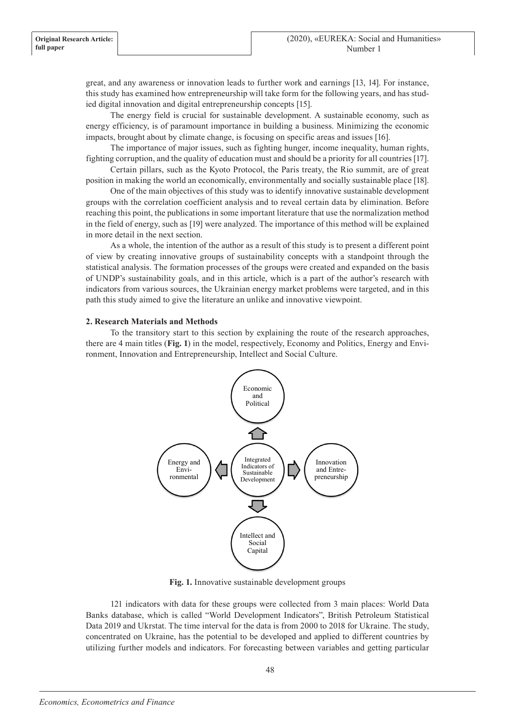great, and any awareness or innovation leads to further work and earnings [13, 14]. For instance, this study has examined how entrepreneurship will take form for the following years, and has studied digital innovation and digital entrepreneurship concepts [15].

The energy field is crucial for sustainable development. A sustainable economy, such as energy efficiency, is of paramount importance in building a business. Minimizing the economic impacts, brought about by climate change, is focusing on specific areas and issues [16].

The importance of major issues, such as fighting hunger, income inequality, human rights, fighting corruption, and the quality of education must and should be a priority for all countries [17].

Certain pillars, such as the Kyoto Protocol, the Paris treaty, the Rio summit, are of great position in making the world an economically, environmentally and socially sustainable place [18].

One of the main objectives of this study was to identify innovative sustainable development groups with the correlation coefficient analysis and to reveal certain data by elimination. Before reaching this point, the publications in some important literature that use the normalization method in the field of energy, such as [19] were analyzed. The importance of this method will be explained in more detail in the next section.

As a whole, the intention of the author as a result of this study is to present a different point of view by creating innovative groups of sustainability concepts with a standpoint through the statistical analysis. The formation processes of the groups were created and expanded on the basis of UNDP's sustainability goals, and in this article, which is a part of the author's research with indicators from various sources, the Ukrainian energy market problems were targeted, and in this path this study aimed to give the literature an unlike and innovative viewpoint.

### **2. Research Materials and Methods**

To the transitory start to this section by explaining the route of the research approaches, there are 4 main titles (**Fig. 1**) in the model, respectively, Economy and Politics, Energy and Environment, Innovation and Entrepreneurship, Intellect and Social Culture.



**Fig. 1.** Innovative sustainable development groups

121 indicators with data for these groups were collected from 3 main places: World Data Banks database, which is called "World Development Indicators", British Petroleum Statistical Data 2019 and Ukrstat. The time interval for the data is from 2000 to 2018 for Ukraine. The study, concentrated on Ukraine, has the potential to be developed and applied to different countries by utilizing further models and indicators. For forecasting between variables and getting particular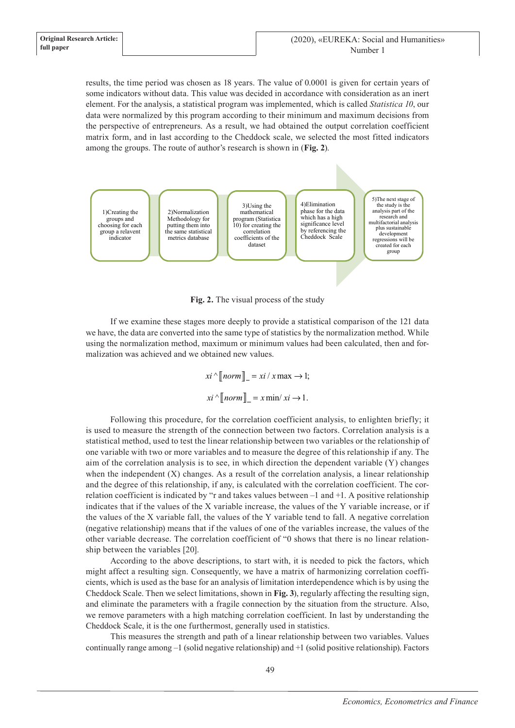results, the time period was chosen as 18 years. The value of 0.0001 is given for certain years of some indicators without data. This value was decided in accordance with consideration as an inert element. For the analysis, a statistical program was implemented, which is called *Statistica 10*, our data were normalized by this program according to their minimum and maximum decisions from the perspective of entrepreneurs. As a result, we had obtained the output correlation coefficient matrix form, and in last according to the Cheddock scale, we selected the most fitted indicators among the groups. The route of author's research is shown in (**Fig. 2**).



**Fig. 2.** The visual process of the study

If we examine these stages more deeply to provide a statistical comparison of the 121 data we have, the data are converted into the same type of statistics by the normalization method. While using the normalization method, maximum or minimum values had been calculated, then and formalization was achieved and we obtained new values.

> $xi \wedge \llbracket norm \rrbracket = xi / x \max \rightarrow 1;$  $xi \wedge \llbracket norm \rrbracket = x \min/xi \rightarrow 1.$

Following this procedure, for the correlation coefficient analysis, to enlighten briefly; it is used to measure the strength of the connection between two factors. Correlation analysis is a statistical method, used to test the linear relationship between two variables or the relationship of one variable with two or more variables and to measure the degree of this relationship if any. The aim of the correlation analysis is to see, in which direction the dependent variable (Y) changes when the independent  $(X)$  changes. As a result of the correlation analysis, a linear relationship and the degree of this relationship, if any, is calculated with the correlation coefficient. The correlation coefficient is indicated by "r and takes values between –1 and +1. A positive relationship indicates that if the values of the X variable increase, the values of the Y variable increase, or if the values of the X variable fall, the values of the Y variable tend to fall. A negative correlation (negative relationship) means that if the values of one of the variables increase, the values of the other variable decrease. The correlation coefficient of "0 shows that there is no linear relationship between the variables [20].

According to the above descriptions, to start with, it is needed to pick the factors, which might affect a resulting sign. Consequently, we have a matrix of harmonizing correlation coefficients, which is used as the base for an analysis of limitation interdependence which is by using the Cheddock Scale. Then we select limitations, shown in **Fig. 3**), regularly affecting the resulting sign, and eliminate the parameters with a fragile connection by the situation from the structure. Also, we remove parameters with a high matching correlation coefficient. In last by understanding the Cheddock Scale, it is the one furthermost, generally used in statistics.

This measures the strength and path of a linear relationship between two variables. Values continually range among –1 (solid negative relationship) and +1 (solid positive relationship). Factors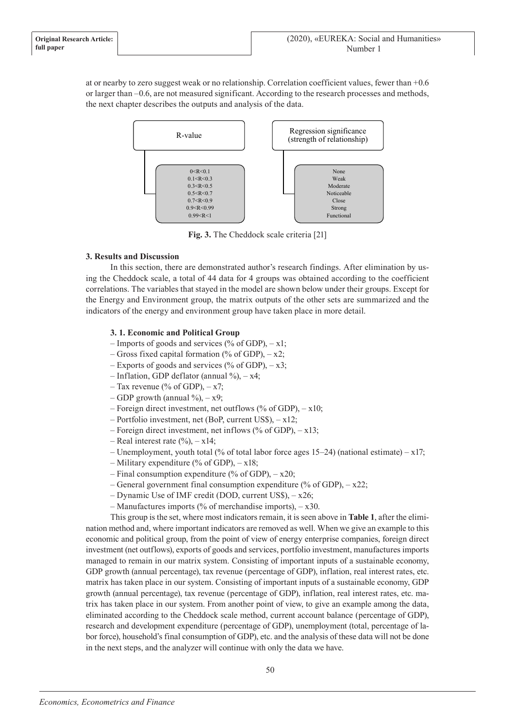at or nearby to zero suggest weak or no relationship. Correlation coefficient values, fewer than +0.6 or larger than –0.6, are not measured significant. According to the research processes and methods, the next chapter describes the outputs and analysis of the data.



**Fig. 3.** The Cheddock scale criteria [21]

# **3. Results and Discussion**

In this section, there are demonstrated author's research findings. After elimination by using the Cheddock scale, a total of 44 data for 4 groups was obtained according to the coefficient correlations. The variables that stayed in the model are shown below under their groups. Except for the Energy and Environment group, the matrix outputs of the other sets are summarized and the indicators of the energy and environment group have taken place in more detail.

# **3. 1. Economic and Political Group**

- Imports of goods and services (% of GDP),  $-x1$ ;
- Gross fixed capital formation (% of GDP),  $-x2$ ;
- Exports of goods and services (% of GDP),  $-x3$ ;
- $-$  Inflation, GDP deflator (annual %),  $x4$ ;
- Tax revenue (% of GDP),  $-x7$ ;
- GDP growth (annual  $\%$ ), x9;
- Foreign direct investment, net outflows (% of GDP),  $-x10$ ;
- Portfolio investment, net (BoP, current US\$), x12;
- Foreign direct investment, net inflows (% of GDP), x13;
- Real interest rate  $(\%)$ , x14;
- Unemployment, youth total (% of total labor force ages 15–24) (national estimate)  $x17$ ;
- Military expenditure (% of GDP),  $x18$ ;
- Final consumption expenditure (% of GDP),  $-x20$ ;
- General government final consumption expenditure (% of GDP), x22;
- Dynamic Use of IMF credit (DOD, current US\$), x26;
- Manufactures imports (% of merchandise imports), x30.

This group is the set, where most indicators remain, it is seen above in **Table 1**, after the elimination method and, where important indicators are removed as well. When we give an example to this economic and political group, from the point of view of energy enterprise companies, foreign direct investment (net outflows), exports of goods and services, portfolio investment, manufactures imports managed to remain in our matrix system. Consisting of important inputs of a sustainable economy, GDP growth (annual percentage), tax revenue (percentage of GDP), inflation, real interest rates, etc. matrix has taken place in our system. Consisting of important inputs of a sustainable economy, GDP growth (annual percentage), tax revenue (percentage of GDP), inflation, real interest rates, etc. matrix has taken place in our system. From another point of view, to give an example among the data, eliminated according to the Cheddock scale method, current account balance (percentage of GDP), research and development expenditure (percentage of GDP), unemployment (total, percentage of labor force), household's final consumption of GDP), etc. and the analysis of these data will not be done in the next steps, and the analyzer will continue with only the data we have.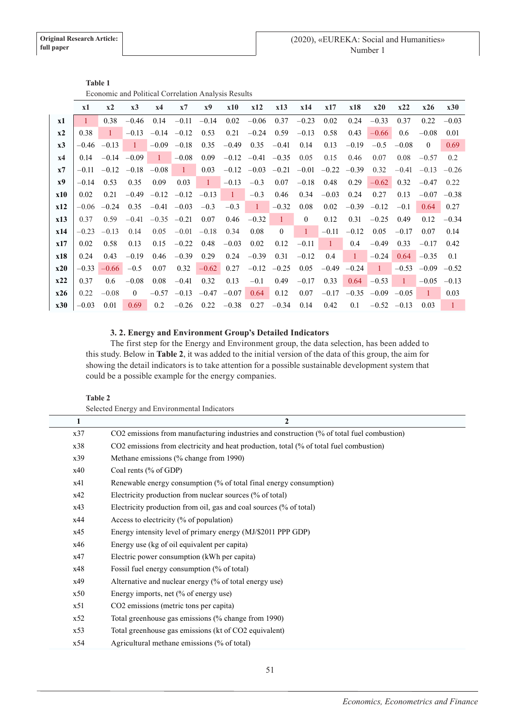|            | Economic and I ontitute correlation I mai , old I count |                  |                         |                 |                  |           |            |                                 |                |                |          |               |                 |         |                         |                |
|------------|---------------------------------------------------------|------------------|-------------------------|-----------------|------------------|-----------|------------|---------------------------------|----------------|----------------|----------|---------------|-----------------|---------|-------------------------|----------------|
|            | x1                                                      | x2               | x3                      | x4              | x7               | <b>x9</b> | <b>x10</b> | x12                             | x13            | x14            | x17      | x18           | x20             | x22     | x26                     | x30            |
| x1         |                                                         | 0.38             | $-0.46$                 | 0.14            | $-0.11$          | $-0.14$   | 0.02       | $-0.06$                         | 0.37           | $-0.23$        | 0.02     | 0.24          | $-0.33$         | 0.37    | 0.22                    | $-0.03$        |
| x2         | 0.38                                                    | $\mathbf{1}$     | $-0.13$                 | $-0.14$ $-0.12$ |                  | 0.53      | 0.21       | $-0.24$                         | 0.59           | $-0.13$        | 0.58     | 0.43          | $-0.66$         | 0.6     | $-0.08$                 | 0.01           |
| x3         |                                                         | $-0.46$ $-0.13$  | $\pm$                   | $-0.09$         | $-0.18$          | 0.35      | $-0.49$    | 0.35                            | $-0.41$        | 0.14           | 0.13     | $-0.19$       | $-0.5$          | $-0.08$ | $\overline{0}$          | 0.69           |
| x4         | 0.14                                                    |                  | $-0.14 - 0.09$          | $\blacklozenge$ | $-0.08$          | 0.09      |            | $-0.12$ $-0.41$ $-0.35$         |                | 0.05           | 0.15     | 0.46          | 0.07            | 0.08    | $-0.57$                 | 0.2            |
| x7         | $-0.11$                                                 |                  | $-0.12$ $-0.18$ $-0.08$ |                 | $\blacksquare$ 1 | 0.03      |            | $-0.12$ $-0.03$ $-0.21$ $-0.01$ |                |                |          | $-0.22 -0.39$ | 0.32            | $-0.41$ | $-0.13$                 | $-0.26$        |
| x9         | $-0.14$                                                 | 0.53             | 0.35                    | 0.09            | 0.03             | $1 -$     | $-0.13$    | $-0.3$                          | 0.07           | $-0.18$        | 0.48     | 0.29          | $-0.62$         | 0.32    | $-0.47$                 | 0.22           |
| <b>x10</b> | 0.02                                                    | 0.21             | $-0.49$                 |                 | $-0.12$ $-0.12$  | $-0.13$   | $\sim$ 1   | $-0.3$                          | 0.46           | 0.34           | $-0.03$  | 0.24          | 0.27            | 0.13    | $-0.07$                 | $-0.38$        |
| x12        | $-0.06$                                                 | $-0.24$          | 0.35                    |                 | $-0.41 - 0.03$   | $-0.3$    | $-0.3$     | $\pm$                           | $-0.32$        | 0.08           | 0.02     | $-0.39$       | $-0.12$         | $-0.1$  | 0.64                    | 0.27           |
| x13        | 0.37                                                    | 0.59             | $-0.41$                 |                 | $-0.35 -0.21$    | 0.07      | 0.46       | $-0.32$                         | $\overline{1}$ | $\overline{0}$ | 0.12     | 0.31          | $-0.25$         | 0.49    | 0.12                    | $-0.34$        |
| x14        | $-0.23$                                                 | $-0.13$          | 0.14                    | 0.05            | $-0.01$          | $-0.18$   | 0.34       | 0.08                            | $\theta$       | $\mathbf{1}$   | $-0.11$  | $-0.12$       | 0.05            | $-0.17$ | 0.07                    | 0.14           |
| x17        | 0.02                                                    | 0.58             | 0.13                    | 0.15            | $-0.22$          | 0.48      | $-0.03$    | 0.02                            | 0.12           | $-0.11$        | $\sim$ 1 | 0.4           | $-0.49$         | 0.33    | $-0.17$                 | 0.42           |
| x18        | 0.24                                                    | 0.43             | $-0.19$                 | 0.46            | $-0.39$          | 0.29      | 0.24       | $-0.39$                         | 0.31           | $-0.12$        | 0.4      | $\mathbf{1}$  | $-0.24$         | 0.64    | $-0.35$                 | 0.1            |
| x20        | $-0.33$                                                 | $-0.66$          | $-0.5$                  | 0.07            | 0.32             | $-0.62$   | 0.27       |                                 | $-0.12 -0.25$  | 0.05           | $-0.49$  | $-0.24$       | $\mathbf{1}$    |         | $-0.53$ $-0.09$ $-0.52$ |                |
| x22        | 0.37                                                    | 0.6 <sub>1</sub> | $-0.08$                 | 0.08            | $-0.41$          | 0.32      | 0.13       | $-0.1$                          | 0.49           | $-0.17$        | 0.33     |               | $0.64 - 0.53$   | -1      | $-0.05$                 | $-0.13$        |
| x26        | 0.22                                                    | $-0.08$          | $\Omega$                | $-0.57$         | $-0.13$          | $-0.47$   | $-0.07$    | 0.64                            | 0.12           | 0.07           | $-0.17$  | $-0.35$       | $-0.09$ $-0.05$ |         | $\mathbf{1}$            | 0.03           |
| x30        | $-0.03$                                                 | 0.01             | 0.69                    | 0.2             | $-0.26$          | 0.22      | $-0.38$    | 0.27                            | $-0.34$        | 0.14           | 0.42     | 0.1           | $-0.52$ $-0.13$ |         | 0.03                    | $\overline{1}$ |

| <b>Table 1</b>                                      |
|-----------------------------------------------------|
| Economic and Political Correlation Analysis Results |

# **3. 2. Energy and Environment Group's Detailed Indicators**

The first step for the Energy and Environment group, the data selection, has been added to this study. Below in **Table 2**, it was added to the initial version of the data of this group, the aim for showing the detail indicators is to take attention for a possible sustainable development system that could be a possible example for the energy companies.

## **Table 2**

| 1   | $\overline{2}$                                                                            |
|-----|-------------------------------------------------------------------------------------------|
| x37 | CO2 emissions from manufacturing industries and construction (% of total fuel combustion) |
| x38 | CO2 emissions from electricity and heat production, total (% of total fuel combustion)    |
| x39 | Methane emissions (% change from 1990)                                                    |
| x40 | Coal rents (% of GDP)                                                                     |
| x41 | Renewable energy consumption (% of total final energy consumption)                        |
| x42 | Electricity production from nuclear sources (% of total)                                  |
| x43 | Electricity production from oil, gas and coal sources (% of total)                        |
| x44 | Access to electricity (% of population)                                                   |
| x45 | Energy intensity level of primary energy (MJ/\$2011 PPP GDP)                              |
| x46 | Energy use (kg of oil equivalent per capita)                                              |
| x47 | Electric power consumption (kWh per capita)                                               |
| x48 | Fossil fuel energy consumption (% of total)                                               |
| x49 | Alternative and nuclear energy (% of total energy use)                                    |
| x50 | Energy imports, net (% of energy use)                                                     |
| x51 | CO2 emissions (metric tons per capita)                                                    |
| x52 | Total greenhouse gas emissions (% change from 1990)                                       |
| x53 | Total greenhouse gas emissions (kt of CO2 equivalent)                                     |
| x54 | Agricultural methane emissions (% of total)                                               |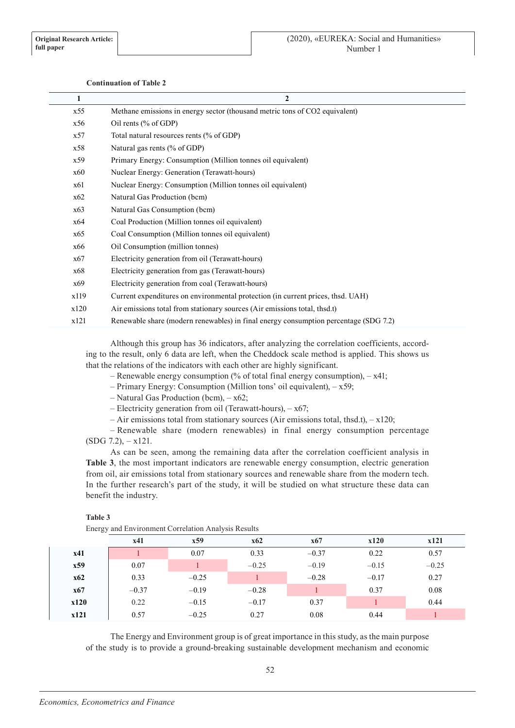## **Continuation of Table 2**

| 1    | $\mathbf{2}$                                                                         |
|------|--------------------------------------------------------------------------------------|
| x55  | Methane emissions in energy sector (thousand metric tons of CO2 equivalent)          |
| x56  | Oil rents (% of GDP)                                                                 |
| x57  | Total natural resources rents (% of GDP)                                             |
| x58  | Natural gas rents (% of GDP)                                                         |
| x59  | Primary Energy: Consumption (Million tonnes oil equivalent)                          |
| x60  | Nuclear Energy: Generation (Terawatt-hours)                                          |
| x61  | Nuclear Energy: Consumption (Million tonnes oil equivalent)                          |
| x62  | Natural Gas Production (bcm)                                                         |
| x63  | Natural Gas Consumption (bcm)                                                        |
| x64  | Coal Production (Million tonnes oil equivalent)                                      |
| x65  | Coal Consumption (Million tonnes oil equivalent)                                     |
| x66  | Oil Consumption (million tonnes)                                                     |
| x67  | Electricity generation from oil (Terawatt-hours)                                     |
| x68  | Electricity generation from gas (Terawatt-hours)                                     |
| x69  | Electricity generation from coal (Terawatt-hours)                                    |
| x119 | Current expenditures on environmental protection (in current prices, thsd. UAH)      |
| x120 | Air emissions total from stationary sources (Air emissions total, thsd.t)            |
| x121 | Renewable share (modern renewables) in final energy consumption percentage (SDG 7.2) |

Although this group has 36 indicators, after analyzing the correlation coefficients, according to the result, only 6 data are left, when the Cheddock scale method is applied. This shows us that the relations of the indicators with each other are highly significant.

- Renewable energy consumption  $\frac{0}{0}$  of total final energy consumption), x41;
	- Primary Energy: Consumption (Million tons' oil equivalent), x59;
	- Natural Gas Production (bcm), x62;
	- Electricity generation from oil (Terawatt-hours), x67;
- Air emissions total from stationary sources (Air emissions total, thsd.t), x120;

– Renewable share (modern renewables) in final energy consumption percentage  $(SDG 7.2)$ ,  $- x121$ .

As can be seen, among the remaining data after the correlation coefficient analysis in **Table 3**, the most important indicators are renewable energy consumption, electric generation from oil, air emissions total from stationary sources and renewable share from the modern tech. In the further research's part of the study, it will be studied on what structure these data can benefit the industry.

### **Table 3**

Energy and Environment Correlation Analysis Results

|            | x41     | x59     | x62     | <b>x67</b> | x120    | x121    |
|------------|---------|---------|---------|------------|---------|---------|
| x41        |         | 0.07    | 0.33    | $-0.37$    | 0.22    | 0.57    |
| x59        | 0.07    |         | $-0.25$ | $-0.19$    | $-0.15$ | $-0.25$ |
| <b>x62</b> | 0.33    | $-0.25$ |         | $-0.28$    | $-0.17$ | 0.27    |
| x67        | $-0.37$ | $-0.19$ | $-0.28$ |            | 0.37    | 0.08    |
| x120       | 0.22    | $-0.15$ | $-0.17$ | 0.37       |         | 0.44    |
| x121       | 0.57    | $-0.25$ | 0.27    | 0.08       | 0.44    |         |

The Energy and Environment group is of great importance in this study, as the main purpose of the study is to provide a ground-breaking sustainable development mechanism and economic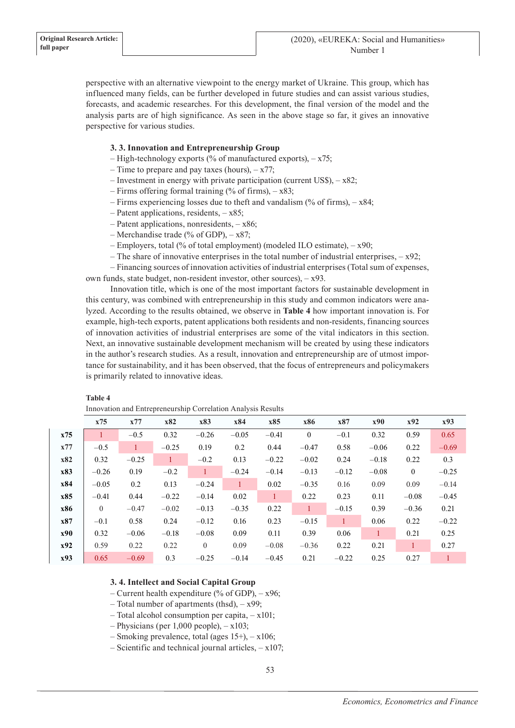perspective with an alternative viewpoint to the energy market of Ukraine. This group, which has influenced many fields, can be further developed in future studies and can assist various studies, forecasts, and academic researches. For this development, the final version of the model and the analysis parts are of high significance. As seen in the above stage so far, it gives an innovative perspective for various studies.

# **3. 3. Innovation and Entrepreneurship Group**

- $-$  High-technology exports (% of manufactured exports),  $x75$ ;
- Time to prepare and pay taxes (hours),  $-x77$ ;
- Investment in energy with private participation (current US\$), x82;
- Firms offering formal training  $%$  of firms), x83;
- Firms experiencing losses due to theft and vandalism (% of firms), x84;
- Patent applications, residents, x85;
- Patent applications, nonresidents, x86;
- Merchandise trade (% of GDP),  $x87$ ;
- Employers, total (% of total employment) (modeled ILO estimate), x90;
- The share of innovative enterprises in the total number of industrial enterprises,  $-x92$ ;

– Financing sources of innovation activities of industrial enterprises (Total sum of expenses, own funds, state budget, non-resident investor, other sources), – x93.

Innovation title, which is one of the most important factors for sustainable development in this century, was combined with entrepreneurship in this study and common indicators were analyzed. According to the results obtained, we observe in **Table 4** how important innovation is. For example, high-tech exports, patent applications both residents and non-residents, financing sources of innovation activities of industrial enterprises are some of the vital indicators in this section. Next, an innovative sustainable development mechanism will be created by using these indicators in the author's research studies. As a result, innovation and entrepreneurship are of utmost importance for sustainability, and it has been observed, that the focus of entrepreneurs and policymakers is primarily related to innovative ideas.

| Table 4        |
|----------------|
| In a variation |

|            | Innovation and Entrepreneurship Correlation Analysis Results |              |              |          |              |              |              |              |              |                |              |
|------------|--------------------------------------------------------------|--------------|--------------|----------|--------------|--------------|--------------|--------------|--------------|----------------|--------------|
|            | x75                                                          | x77          | x82          | x83      | x84          | x85          | x86          | x87          | x90          | x92            | x93          |
| x75        | 1                                                            | $-0.5$       | 0.32         | $-0.26$  | $-0.05$      | $-0.41$      | $\mathbf{0}$ | $-0.1$       | 0.32         | 0.59           | 0.65         |
| x77        | $-0.5$                                                       | $\mathbf{1}$ | $-0.25$      | 0.19     | 0.2          | 0.44         | $-0.47$      | 0.58         | $-0.06$      | 0.22           | $-0.69$      |
| x82        | 0.32                                                         | $-0.25$      | $\mathbf{1}$ | $-0.2$   | 0.13         | $-0.22$      | $-0.02$      | 0.24         | $-0.18$      | 0.22           | 0.3          |
| x83        | $-0.26$                                                      | 0.19         | $-0.2$       |          | $-0.24$      | $-0.14$      | $-0.13$      | $-0.12$      | $-0.08$      | $\overline{0}$ | $-0.25$      |
| x84        | $-0.05$                                                      | 0.2          | 0.13         | $-0.24$  | $\mathbf{1}$ | 0.02         | $-0.35$      | 0.16         | 0.09         | 0.09           | $-0.14$      |
| x85        | $-0.41$                                                      | 0.44         | $-0.22$      | $-0.14$  | 0.02         | $\mathbf{1}$ | 0.22         | 0.23         | 0.11         | $-0.08$        | $-0.45$      |
| x86        | $\theta$                                                     | $-0.47$      | $-0.02$      | $-0.13$  | $-0.35$      | 0.22         | $\mathbf{1}$ | $-0.15$      | 0.39         | $-0.36$        | 0.21         |
| x87        | $-0.1$                                                       | 0.58         | 0.24         | $-0.12$  | 0.16         | 0.23         | $-0.15$      | $\mathbf{1}$ | 0.06         | 0.22           | $-0.22$      |
| <b>x90</b> | 0.32                                                         | $-0.06$      | $-0.18$      | $-0.08$  | 0.09         | 0.11         | 0.39         | 0.06         | $\mathbf{1}$ | 0.21           | 0.25         |
| x92        | 0.59                                                         | 0.22         | 0.22         | $\theta$ | 0.09         | $-0.08$      | $-0.36$      | 0.22         | 0.21         |                | 0.27         |
| x93        | 0.65                                                         | $-0.69$      | 0.3          | $-0.25$  | $-0.14$      | $-0.45$      | 0.21         | $-0.22$      | 0.25         | 0.27           | $\mathbf{1}$ |

Innovation and Entrepreneurship Correlation Analysis Results

## **3. 4. Intellect and Social Capital Group**

- Current health expenditure (% of GDP),  $x96$ ;
- Total number of apartments (thsd), x99;
- Total alcohol consumption per capita, x101;
- $-$  Physicians (per 1,000 people),  $x103$ ;
- Smoking prevalence, total (ages 15+), x106;
- Scientific and technical journal articles,  $x107$ ;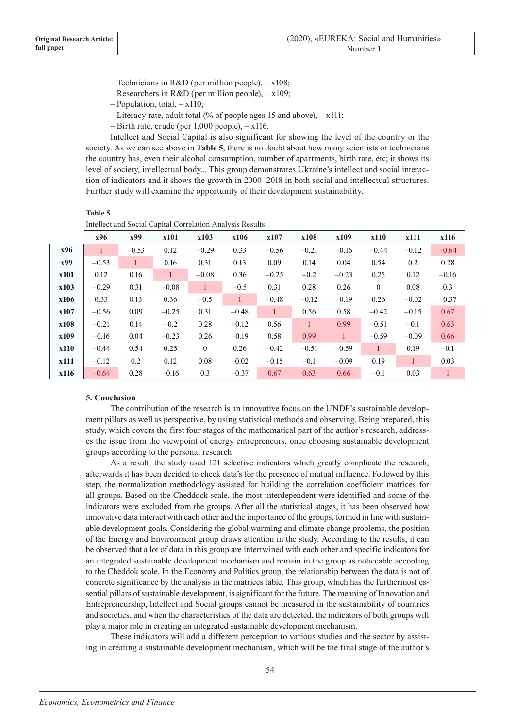- Technicians in R&D (per million people),  $-x108$ ;
- Researchers in R&D (per million people), x109;
- Population, total, x110;
- Literacy rate, adult total (% of people ages 15 and above), x111;
- $-$  Birth rate, crude (per 1,000 people),  $-$  x116.

Intellect and Social Capital is also significant for showing the level of the country or the society. As we can see above in **Table 5**, there is no doubt about how many scientists or technicians the country has, even their alcohol consumption, number of apartments, birth rate, etc; it shows its level of society, intellectual body... This group demonstrates Ukraine's intellect and social interaction of indicators and it shows the growth in 2000–2018 in both social and intellectual structures. Further study will examine the opportunity of their development sustainability.

#### **Table 5**

| Intellect and Social Capital Correlation Analysis Results |  |  |  |  |
|-----------------------------------------------------------|--|--|--|--|
|-----------------------------------------------------------|--|--|--|--|

|      | x96     | x99     | x101    | x103         | x106         | x107         | x108         | x109         | x110         | x111    | x116    |
|------|---------|---------|---------|--------------|--------------|--------------|--------------|--------------|--------------|---------|---------|
| x96  |         | $-0.53$ | 0.12    | $-0.29$      | 0.33         | $-0.56$      | $-0.21$      | $-0.16$      | $-0.44$      | $-0.12$ | $-0.64$ |
| x99  | $-0.53$ | 1       | 0.16    | 0.31         | 0.13         | 0.09         | 0.14         | 0.04         | 0.54         | 0.2     | 0.28    |
| x101 | 0.12    | 0.16    | 1       | $-0.08$      | 0.36         | $-0.25$      | $-0.2$       | $-0.23$      | 0.25         | 0.12    | $-0.16$ |
| x103 | $-0.29$ | 0.31    | $-0.08$ | $\mathbf{1}$ | $-0.5$       | 0.31         | 0.28         | 0.26         | $\mathbf{0}$ | 0.08    | 0.3     |
| x106 | 0.33    | 0.13    | 0.36    | $-0.5$       | $\mathbf{1}$ | $-0.48$      | $-0.12$      | $-0.19$      | 0.26         | $-0.02$ | $-0.37$ |
| x107 | $-0.56$ | 0.09    | $-0.25$ | 0.31         | $-0.48$      | $\mathbf{1}$ | 0.56         | 0.58         | $-0.42$      | $-0.15$ | 0.67    |
| x108 | $-0.21$ | 0.14    | $-0.2$  | 0.28         | $-0.12$      | 0.56         | $\mathbf{1}$ | 0.99         | $-0.51$      | $-0.1$  | 0.63    |
| x109 | $-0.16$ | 0.04    | $-0.23$ | 0.26         | $-0.19$      | 0.58         | 0.99         | $\mathbf{1}$ | $-0.59$      | $-0.09$ | 0.66    |
| x110 | $-0.44$ | 0.54    | 0.25    | $\theta$     | 0.26         | $-0.42$      | $-0.51$      | $-0.59$      | 1            | 0.19    | $-0.1$  |
| x111 | $-0.12$ | 0.2     | 0.12    | 0.08         | $-0.02$      | $-0.15$      | $-0.1$       | $-0.09$      | 0.19         | 1       | 0.03    |
| x116 | $-0.64$ | 0.28    | $-0.16$ | 0.3          | $-0.37$      | 0.67         | 0.63         | 0.66         | $-0.1$       | 0.03    |         |

### **5. Conclusion**

The contribution of the research is an innovative focus on the UNDP's sustainable development pillars as well as perspective, by using statistical methods and observing. Being prepared, this study, which covers the first four stages of the mathematical part of the author's research, addresses the issue from the viewpoint of energy entrepreneurs, once choosing sustainable development groups according to the personal research.

As a result, the study used 121 selective indicators which greatly complicate the research, afterwards it has been decided to check data's for the presence of mutual influence. Followed by this step, the normalization methodology assisted for building the correlation coefficient matrices for all groups. Based on the Cheddock scale, the most interdependent were identified and some of the indicators were excluded from the groups. After all the statistical stages, it has been observed how innovative data interact with each other and the importance of the groups, formed in line with sustainable development goals. Considering the global warming and climate change problems, the position of the Energy and Environment group draws attention in the study. According to the results, it can be observed that a lot of data in this group are intertwined with each other and specific indicators for an integrated sustainable development mechanism and remain in the group as noticeable according to the Cheddok scale. In the Economy and Politics group, the relationship between the data is not of concrete significance by the analysis in the matrices table. This group, which has the furthermost essential pillars of sustainable development, is significant for the future. The meaning of Innovation and Entrepreneurship, Intellect and Social groups cannot be measured in the sustainability of countries and societies, and when the characteristics of the data are detected, the indicators of both groups will play a major role in creating an integrated sustainable development mechanism.

These indicators will add a different perception to various studies and the sector by assisting in creating a sustainable development mechanism, which will be the final stage of the author's